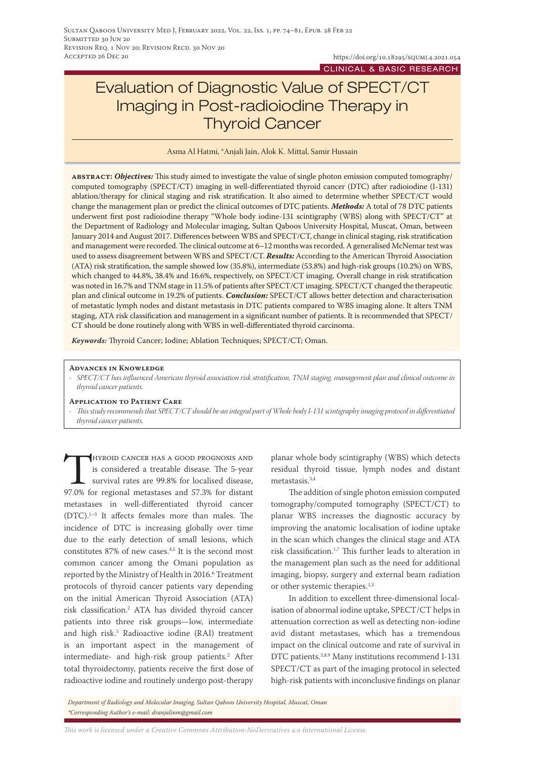# Evaluation of Diagnostic Value of SPECT/CT Imaging in Post-radioiodine Therapy in Thyroid Cancer

Asma Al Hatmi, \*Anjali Jain, Alok K. Mittal, Samir Hussain

**abstract:** *Objectives:* This study aimed to investigate the value of single photon emission computed tomography/ computed tomography (SPECT/CT) imaging in well-differentiated thyroid cancer (DTC) after radioiodine (I-131) ablation/therapy for clinical staging and risk stratification. It also aimed to determine whether SPECT/CT would change the management plan or predict the clinical outcomes of DTC patients. *Methods:* A total of 78 DTC patients underwent first post radioiodine therapy "Whole body iodine-131 scintigraphy (WBS) along with SPECT/CT" at the Department of Radiology and Molecular imaging, Sultan Qaboos University Hospital, Muscat, Oman, between January 2014 and August 2017. Differences between WBS and SPECT/CT, change in clinical staging, risk stratification and management were recorded. The clinical outcome at 6–12 months was recorded. A generalised McNemar test was used to assess disagreement between WBS and SPECT/CT. *Results:* According to the American Thyroid Association (ATA) risk stratification, the sample showed low (35.8%), intermediate (53.8%) and high-risk groups (10.2%) on WBS, which changed to 44.8%, 38.4% and 16.6%, respectively, on SPECT/CT imaging. Overall change in risk stratification was noted in 16.7% and TNM stage in 11.5% of patients after SPECT/CT imaging. SPECT/CT changed the therapeutic plan and clinical outcome in 19.2% of patients. *Conclusion:* SPECT/CT allows better detection and characterisation of metastatic lymph nodes and distant metastasis in DTC patients compared to WBS imaging alone. It alters TNM staging, ATA risk classification and management in a significant number of patients. It is recommended that SPECT/ CT should be done routinely along with WBS in well-differentiated thyroid carcinoma.

*Keywords:* Thyroid Cancer; Iodine; Ablation Techniques; SPECT/CT; Oman.

#### **Advances in Knowledge**

*- SPECT/CT has influenced American thyroid association risk stratification, TNM staging, management plan and clinical outcome in thyroid cancer patients.*

#### **Application to Patient Care**

*- This study recommends that SPECT/CT should be an integral part of Whole body I-131 scintigraphy imaging protocol in differentiated thyroid cancer patients.*

HYROID CANCER HAS A GOOD PROGNOSIS AND<br>is considered a treatable disease. The 5-year<br>survival rates are 99.8% for localised disease,<br>97.0% for regional metastases and 57.3% for distant is considered a treatable disease. The 5-year survival rates are 99.8% for localised disease, 97.0% for regional metastases and 57.3% for distant metastases in well-differentiated thyroid cancer (DTC).1–3 It affects females more than males. The incidence of DTC is increasing globally over time due to the early detection of small lesions, which constitutes 87% of new cases.4,5 It is the second most common cancer among the Omani population as reported by the Ministry of Health in 2016.<sup>6</sup> Treatment protocols of thyroid cancer patients vary depending on the initial American Thyroid Association (ATA) risk classification.2 ATA has divided thyroid cancer patients into three risk groups—low, intermediate and high risk.5 Radioactive iodine (RAI) treatment is an important aspect in the management of intermediate- and high-risk group patients.2 After total thyroidectomy, patients receive the first dose of radioactive iodine and routinely undergo post-therapy

planar whole body scintigraphy (WBS) which detects residual thyroid tissue, lymph nodes and distant metastasis.3,4

The addition of single photon emission computed tomography/computed tomography (SPECT/CT) to planar WBS increases the diagnostic accuracy by improving the anatomic localisation of iodine uptake in the scan which changes the clinical stage and ATA risk classification.1,7 This further leads to alteration in the management plan such as the need for additional imaging, biopsy, surgery and external beam radiation or other systemic therapies.<sup>1,3</sup>

In addition to excellent three-dimensional localisation of abnormal iodine uptake, SPECT/CT helps in attenuation correction as well as detecting non-iodine avid distant metastases, which has a tremendous impact on the clinical outcome and rate of survival in DTC patients.<sup>3,8,9</sup> Many institutions recommend I-131 SPECT/CT as part of the imaging protocol in selected high-risk patients with inconclusive findings on planar

*Department of Radiology and Molecular Imaging, Sultan Qaboos University Hospital, Muscat, Oman \*Corresponding Author's e-mail: dranjalinm@gmail.com*

*This work is licensed under a [Creative Commons Attribution-NoDerivatives 4.0 International License.](https://creativecommons.org/licenses/by-nd/4.0/)*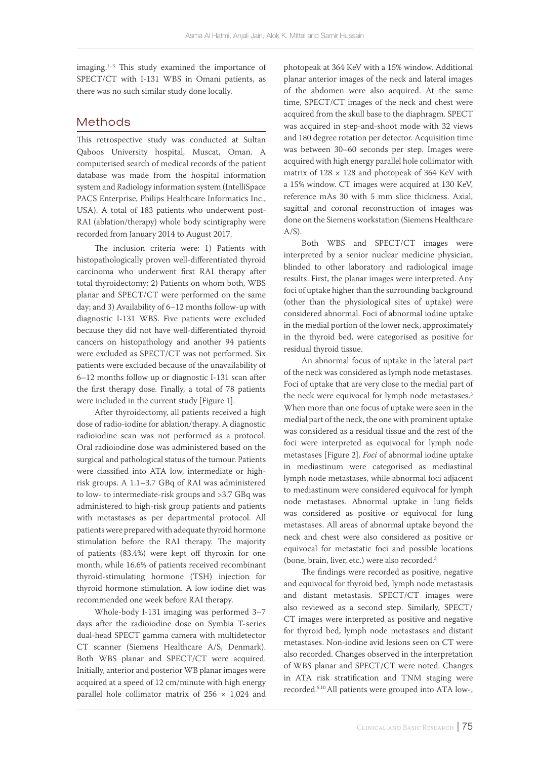imaging.1–3 This study examined the importance of SPECT/CT with I-131 WBS in Omani patients, as there was no such similar study done locally.

# Methods

This retrospective study was conducted at Sultan Qaboos University hospital, Muscat, Oman. A computerised search of medical records of the patient database was made from the hospital information system and Radiology information system (IntelliSpace PACS Enterprise, Philips Healthcare Informatics Inc., USA). A total of 183 patients who underwent post-RAI (ablation/therapy) whole body scintigraphy were recorded from January 2014 to August 2017.

The inclusion criteria were: 1) Patients with histopathologically proven well-differentiated thyroid carcinoma who underwent first RAI therapy after total thyroidectomy; 2) Patients on whom both, WBS planar and SPECT/CT were performed on the same day; and 3) Availability of 6–12 months follow-up with diagnostic I-131 WBS. Five patients were excluded because they did not have well-differentiated thyroid cancers on histopathology and another 94 patients were excluded as SPECT/CT was not performed. Six patients were excluded because of the unavailability of 6–12 months follow up or diagnostic I-131 scan after the first therapy dose. Finally, a total of 78 patients were included in the current study [Figure 1].

After thyroidectomy, all patients received a high dose of radio-iodine for ablation/therapy. A diagnostic radioiodine scan was not performed as a protocol. Oral radioiodine dose was administered based on the surgical and pathological status of the tumour. Patients were classified into ATA low, intermediate or highrisk groups. A 1.1–3.7 GBq of RAI was administered to low- to intermediate-risk groups and >3.7 GBq was administered to high-risk group patients and patients with metastases as per departmental protocol. All patients were prepared with adequate thyroid hormone stimulation before the RAI therapy. The majority of patients (83.4%) were kept off thyroxin for one month, while 16.6% of patients received recombinant thyroid-stimulating hormone (TSH) injection for thyroid hormone stimulation. A low iodine diet was recommended one week before RAI therapy.

Whole-body I-131 imaging was performed 3–7 days after the radioiodine dose on Symbia T-series dual-head SPECT gamma camera with multidetector CT scanner (Siemens Healthcare A/S, Denmark). Both WBS planar and SPECT/CT were acquired. Initially, anterior and posterior WB planar images were acquired at a speed of 12 cm/minute with high energy parallel hole collimator matrix of  $256 \times 1,024$  and

photopeak at 364 KeV with a 15% window. Additional planar anterior images of the neck and lateral images of the abdomen were also acquired. At the same time, SPECT/CT images of the neck and chest were acquired from the skull base to the diaphragm. SPECT was acquired in step-and-shoot mode with 32 views and 180 degree rotation per detector. Acquisition time was between 30–60 seconds per step. Images were acquired with high energy parallel hole collimator with matrix of  $128 \times 128$  and photopeak of 364 KeV with a 15% window. CT images were acquired at 130 KeV, reference mAs 30 with 5 mm slice thickness. Axial, sagittal and coronal reconstruction of images was done on the Siemens workstation (Siemens Healthcare  $A/S$ ).

Both WBS and SPECT/CT images were interpreted by a senior nuclear medicine physician, blinded to other laboratory and radiological image results. First, the planar images were interpreted. Any foci of uptake higher than the surrounding background (other than the physiological sites of uptake) were considered abnormal. Foci of abnormal iodine uptake in the medial portion of the lower neck, approximately in the thyroid bed, were categorised as positive for residual thyroid tissue.

An abnormal focus of uptake in the lateral part of the neck was considered as lymph node metastases. Foci of uptake that are very close to the medial part of the neck were equivocal for lymph node metastases.<sup>3</sup> When more than one focus of uptake were seen in the medial part of the neck, the one with prominent uptake was considered as a residual tissue and the rest of the foci were interpreted as equivocal for lymph node metastases [Figure 2]. *Foci* of abnormal iodine uptake in mediastinum were categorised as mediastinal lymph node metastases, while abnormal foci adjacent to mediastinum were considered equivocal for lymph node metastases. Abnormal uptake in lung fields was considered as positive or equivocal for lung metastases. All areas of abnormal uptake beyond the neck and chest were also considered as positive or equivocal for metastatic foci and possible locations (bone, brain, liver, etc.) were also recorded.3

The findings were recorded as positive, negative and equivocal for thyroid bed, lymph node metastasis and distant metastasis. SPECT/CT images were also reviewed as a second step. Similarly, SPECT/ CT images were interpreted as positive and negative for thyroid bed, lymph node metastases and distant metastases. Non-iodine avid lesions seen on CT were also recorded. Changes observed in the interpretation of WBS planar and SPECT/CT were noted. Changes in ATA risk stratification and TNM staging were recorded.5,10 All patients were grouped into ATA low-,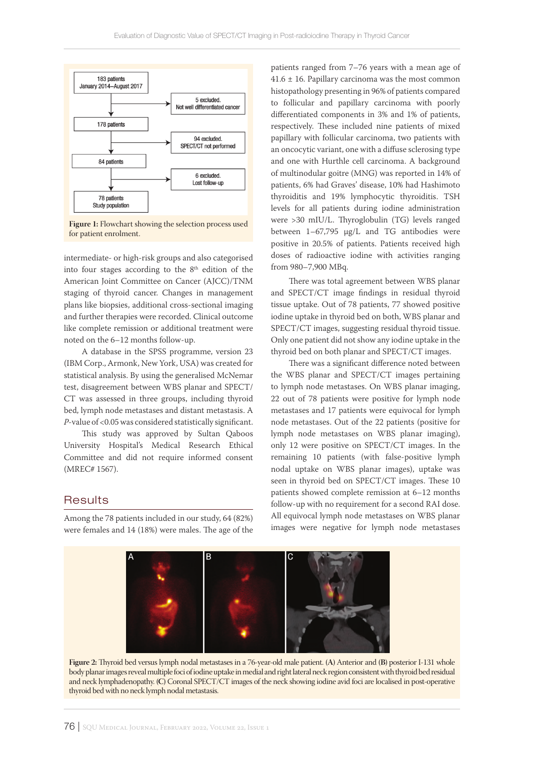

**Figure 1:** Flowchart showing the selection process used for patient enrolment.

intermediate- or high-risk groups and also categorised into four stages according to the  $8<sup>th</sup>$  edition of the American Joint Committee on Cancer (AJCC)/TNM staging of thyroid cancer. Changes in management plans like biopsies, additional cross-sectional imaging and further therapies were recorded. Clinical outcome like complete remission or additional treatment were noted on the 6–12 months follow-up.

A database in the SPSS programme, version 23 (IBM Corp., Armonk, New York, USA) was created for statistical analysis. By using the generalised McNemar test, disagreement between WBS planar and SPECT/ CT was assessed in three groups, including thyroid bed, lymph node metastases and distant metastasis. A *P*-value of <0.05 was considered statistically significant.

This study was approved by Sultan Qaboos University Hospital's Medical Research Ethical Committee and did not require informed consent (MREC# 1567).

### **Results**

Among the 78 patients included in our study, 64 (82%) were females and 14 (18%) were males. The age of the

patients ranged from 7–76 years with a mean age of  $41.6 \pm 16$ . Papillary carcinoma was the most common histopathology presenting in 96% of patients compared to follicular and papillary carcinoma with poorly differentiated components in 3% and 1% of patients, respectively. These included nine patients of mixed papillary with follicular carcinoma, two patients with an oncocytic variant, one with a diffuse sclerosing type and one with Hurthle cell carcinoma. A background of multinodular goitre (MNG) was reported in 14% of patients, 6% had Graves' disease, 10% had Hashimoto thyroiditis and 19% lymphocytic thyroiditis. TSH levels for all patients during iodine administration were >30 mIU/L. Thyroglobulin (TG) levels ranged between 1–67,795 µg/L and TG antibodies were positive in 20.5% of patients. Patients received high doses of radioactive iodine with activities ranging from 980–7,900 MBq.

There was total agreement between WBS planar and SPECT/CT image findings in residual thyroid tissue uptake. Out of 78 patients, 77 showed positive iodine uptake in thyroid bed on both, WBS planar and SPECT/CT images, suggesting residual thyroid tissue. Only one patient did not show any iodine uptake in the thyroid bed on both planar and SPECT/CT images.

There was a significant difference noted between the WBS planar and SPECT/CT images pertaining to lymph node metastases. On WBS planar imaging, 22 out of 78 patients were positive for lymph node metastases and 17 patients were equivocal for lymph node metastases. Out of the 22 patients (positive for lymph node metastases on WBS planar imaging), only 12 were positive on SPECT/CT images. In the remaining 10 patients (with false-positive lymph nodal uptake on WBS planar images), uptake was seen in thyroid bed on SPECT/CT images. These 10 patients showed complete remission at 6–12 months follow-up with no requirement for a second RAI dose. All equivocal lymph node metastases on WBS planar images were negative for lymph node metastases



**Figure 2:** Thyroid bed versus lymph nodal metastases in a 76-year-old male patient. **(A)** Anterior and **(B)** posterior I-131 whole body planar images reveal multiple foci of iodine uptake in medial and right lateral neck region consistent with thyroid bed residual and neck lymphadenopathy. **(C)** Coronal SPECT/CT images of the neck showing iodine avid foci are localised in post-operative thyroid bed with no neck lymph nodal metastasis.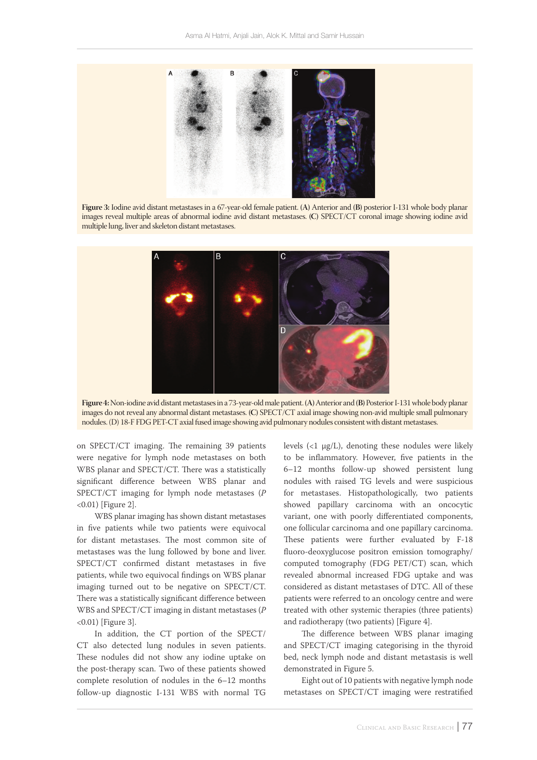

**Figure 3:** Iodine avid distant metastases in a 67-year-old female patient. **(A)** Anterior and **(B)** posterior I-131 whole body planar images reveal multiple areas of abnormal iodine avid distant metastases. **(C)** SPECT/CT coronal image showing iodine avid multiple lung, liver and skeleton distant metastases.



**Figure 4:** Non-iodine avid distant metastases in a 73-year-old male patient. **(A)** Anterior and **(B)** Posterior I-131 whole body planar images do not reveal any abnormal distant metastases. **(C)** SPECT/CT axial image showing non-avid multiple small pulmonary nodules. (D) 18-F FDG PET-CT axial fused image showing avid pulmonary nodules consistent with distant metastases.

on SPECT/CT imaging. The remaining 39 patients were negative for lymph node metastases on both WBS planar and SPECT/CT. There was a statistically significant difference between WBS planar and SPECT/CT imaging for lymph node metastases (*P* <0.01) [Figure 2].

WBS planar imaging has shown distant metastases in five patients while two patients were equivocal for distant metastases. The most common site of metastases was the lung followed by bone and liver. SPECT/CT confirmed distant metastases in five patients, while two equivocal findings on WBS planar imaging turned out to be negative on SPECT/CT. There was a statistically significant difference between WBS and SPECT/CT imaging in distant metastases (*P* <0.01) [Figure 3].

In addition, the CT portion of the SPECT/ CT also detected lung nodules in seven patients. These nodules did not show any iodine uptake on the post-therapy scan. Two of these patients showed complete resolution of nodules in the 6–12 months follow-up diagnostic I-131 WBS with normal TG levels  $(1 \mu g/L)$ , denoting these nodules were likely to be inflammatory. However, five patients in the 6–12 months follow-up showed persistent lung nodules with raised TG levels and were suspicious for metastases. Histopathologically, two patients showed papillary carcinoma with an oncocytic variant, one with poorly differentiated components, one follicular carcinoma and one papillary carcinoma. These patients were further evaluated by F-18 fluoro-deoxyglucose positron emission tomography/ computed tomography (FDG PET/CT) scan, which revealed abnormal increased FDG uptake and was considered as distant metastases of DTC. All of these patients were referred to an oncology centre and were treated with other systemic therapies (three patients) and radiotherapy (two patients) [Figure 4].

The difference between WBS planar imaging and SPECT/CT imaging categorising in the thyroid bed, neck lymph node and distant metastasis is well demonstrated in Figure 5.

Eight out of 10 patients with negative lymph node metastases on SPECT/CT imaging were restratified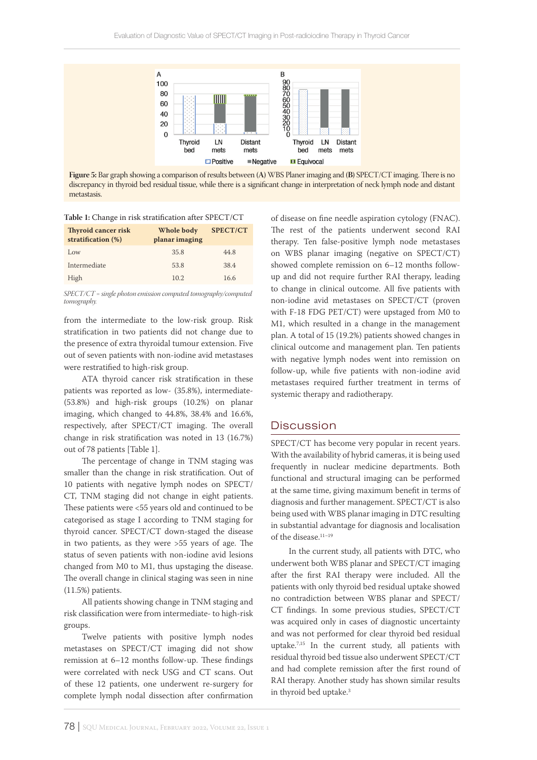

**Figure 5:** Bar graph showing a comparison of results between **(A)** WBS Planer imaging and **(B)** SPECT/CT imaging. There is no discrepancy in thyroid bed residual tissue, while there is a significant change in interpretation of neck lymph node and distant metastasis.

**Table 1:** Change in risk stratification after SPECT/CT

| <b>Thyroid cancer risk</b><br>stratification (%) | Whole body<br>planar imaging | SPECT/CT |
|--------------------------------------------------|------------------------------|----------|
| Low                                              | 35.8                         | 44.8     |
| Intermediate                                     | 53.8                         | 38.4     |
| High                                             | 10.2                         | 16.6     |

*SPECT/CT = single photon emission computed tomography/computed tomography.*

from the intermediate to the low-risk group. Risk stratification in two patients did not change due to the presence of extra thyroidal tumour extension. Five out of seven patients with non-iodine avid metastases were restratified to high-risk group.

ATA thyroid cancer risk stratification in these patients was reported as low- (35.8%), intermediate- (53.8%) and high-risk groups (10.2%) on planar imaging, which changed to 44.8%, 38.4% and 16.6%, respectively, after SPECT/CT imaging. The overall change in risk stratification was noted in 13 (16.7%) out of 78 patients [Table 1].

The percentage of change in TNM staging was smaller than the change in risk stratification. Out of 10 patients with negative lymph nodes on SPECT/ CT, TNM staging did not change in eight patients. These patients were <55 years old and continued to be categorised as stage I according to TNM staging for thyroid cancer. SPECT/CT down-staged the disease in two patients, as they were >55 years of age. The status of seven patients with non-iodine avid lesions changed from M0 to M1, thus upstaging the disease. The overall change in clinical staging was seen in nine (11.5%) patients.

All patients showing change in TNM staging and risk classification were from intermediate- to high-risk groups.

Twelve patients with positive lymph nodes metastases on SPECT/CT imaging did not show remission at 6–12 months follow-up. These findings were correlated with neck USG and CT scans. Out of these 12 patients, one underwent re-surgery for complete lymph nodal dissection after confirmation

of disease on fine needle aspiration cytology (FNAC). The rest of the patients underwent second RAI therapy. Ten false-positive lymph node metastases on WBS planar imaging (negative on SPECT/CT) showed complete remission on 6–12 months followup and did not require further RAI therapy, leading to change in clinical outcome. All five patients with non-iodine avid metastases on SPECT/CT (proven with F-18 FDG PET/CT) were upstaged from M0 to M1, which resulted in a change in the management plan. A total of 15 (19.2%) patients showed changes in clinical outcome and management plan. Ten patients with negative lymph nodes went into remission on follow-up, while five patients with non-iodine avid metastases required further treatment in terms of systemic therapy and radiotherapy.

## Discussion

SPECT/CT has become very popular in recent years. With the availability of hybrid cameras, it is being used frequently in nuclear medicine departments. Both functional and structural imaging can be performed at the same time, giving maximum benefit in terms of diagnosis and further management. SPECT/CT is also being used with WBS planar imaging in DTC resulting in substantial advantage for diagnosis and localisation of the disease.<sup>11-19</sup>

In the current study, all patients with DTC, who underwent both WBS planar and SPECT/CT imaging after the first RAI therapy were included. All the patients with only thyroid bed residual uptake showed no contradiction between WBS planar and SPECT/ CT findings. In some previous studies, SPECT/CT was acquired only in cases of diagnostic uncertainty and was not performed for clear thyroid bed residual uptake.7,15 In the current study, all patients with residual thyroid bed tissue also underwent SPECT/CT and had complete remission after the first round of RAI therapy. Another study has shown similar results in thyroid bed uptake.<sup>3</sup>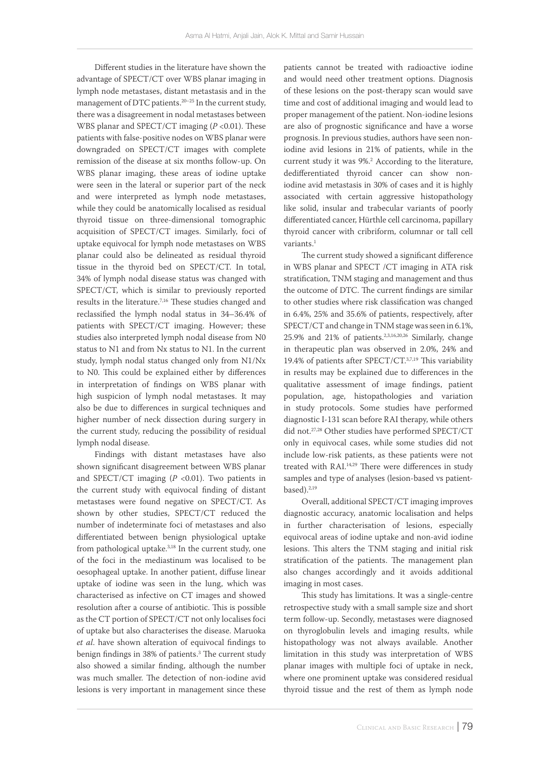Different studies in the literature have shown the advantage of SPECT/CT over WBS planar imaging in lymph node metastases, distant metastasis and in the management of DTC patients.<sup>20-25</sup> In the current study, there was a disagreement in nodal metastases between WBS planar and SPECT/CT imaging ( $P < 0.01$ ). These patients with false-positive nodes on WBS planar were downgraded on SPECT/CT images with complete remission of the disease at six months follow-up. On WBS planar imaging, these areas of iodine uptake were seen in the lateral or superior part of the neck and were interpreted as lymph node metastases, while they could be anatomically localised as residual thyroid tissue on three-dimensional tomographic acquisition of SPECT/CT images. Similarly, foci of uptake equivocal for lymph node metastases on WBS planar could also be delineated as residual thyroid tissue in the thyroid bed on SPECT/CT. In total, 34% of lymph nodal disease status was changed with SPECT/CT, which is similar to previously reported results in the literature.7,16 These studies changed and reclassified the lymph nodal status in 34–36.4% of patients with SPECT/CT imaging. However; these studies also interpreted lymph nodal disease from N0 status to N1 and from Nx status to N1. In the current study, lymph nodal status changed only from N1/Nx to N0. This could be explained either by differences in interpretation of findings on WBS planar with high suspicion of lymph nodal metastases. It may also be due to differences in surgical techniques and higher number of neck dissection during surgery in the current study, reducing the possibility of residual lymph nodal disease.

Findings with distant metastases have also shown significant disagreement between WBS planar and SPECT/CT imaging (*P* <0.01). Two patients in the current study with equivocal finding of distant metastases were found negative on SPECT/CT. As shown by other studies, SPECT/CT reduced the number of indeterminate foci of metastases and also differentiated between benign physiological uptake from pathological uptake.<sup>3,18</sup> In the current study, one of the foci in the mediastinum was localised to be oesophageal uptake. In another patient, diffuse linear uptake of iodine was seen in the lung, which was characterised as infective on CT images and showed resolution after a course of antibiotic. This is possible as the CT portion of SPECT/CT not only localises foci of uptake but also characterises the disease. Maruoka *et al*. have shown alteration of equivocal findings to benign findings in 38% of patients.3 The current study also showed a similar finding, although the number was much smaller. The detection of non-iodine avid lesions is very important in management since these

patients cannot be treated with radioactive iodine and would need other treatment options. Diagnosis of these lesions on the post-therapy scan would save time and cost of additional imaging and would lead to proper management of the patient. Non-iodine lesions are also of prognostic significance and have a worse prognosis. In previous studies, authors have seen noniodine avid lesions in 21% of patients, while in the current study it was 9%.2 According to the literature, dedifferentiated thyroid cancer can show noniodine avid metastasis in 30% of cases and it is highly associated with certain aggressive histopathology like solid, insular and trabecular variants of poorly differentiated cancer, Hürthle cell carcinoma, papillary thyroid cancer with cribriform, columnar or tall cell variants.<sup>1</sup>

The current study showed a significant difference in WBS planar and SPECT /CT imaging in ATA risk stratification, TNM staging and management and thus the outcome of DTC. The current findings are similar to other studies where risk classification was changed in 6.4%, 25% and 35.6% of patients, respectively, after SPECT/CT and change in TNM stage was seen in 6.1%, 25.9% and 21% of patients.2,3,16,20,26 Similarly, change in therapeutic plan was observed in 2.0%, 24% and 19.4% of patients after SPECT/CT.3,7,19 This variability in results may be explained due to differences in the qualitative assessment of image findings, patient population, age, histopathologies and variation in study protocols. Some studies have performed diagnostic I-131 scan before RAI therapy, while others did not.27,28 Other studies have performed SPECT/CT only in equivocal cases, while some studies did not include low-risk patients, as these patients were not treated with RAI.14,29 There were differences in study samples and type of analyses (lesion-based vs patientbased).<sup>2,19</sup>

Overall, additional SPECT/CT imaging improves diagnostic accuracy, anatomic localisation and helps in further characterisation of lesions, especially equivocal areas of iodine uptake and non-avid iodine lesions. This alters the TNM staging and initial risk stratification of the patients. The management plan also changes accordingly and it avoids additional imaging in most cases.

This study has limitations. It was a single-centre retrospective study with a small sample size and short term follow-up. Secondly, metastases were diagnosed on thyroglobulin levels and imaging results, while histopathology was not always available. Another limitation in this study was interpretation of WBS planar images with multiple foci of uptake in neck, where one prominent uptake was considered residual thyroid tissue and the rest of them as lymph node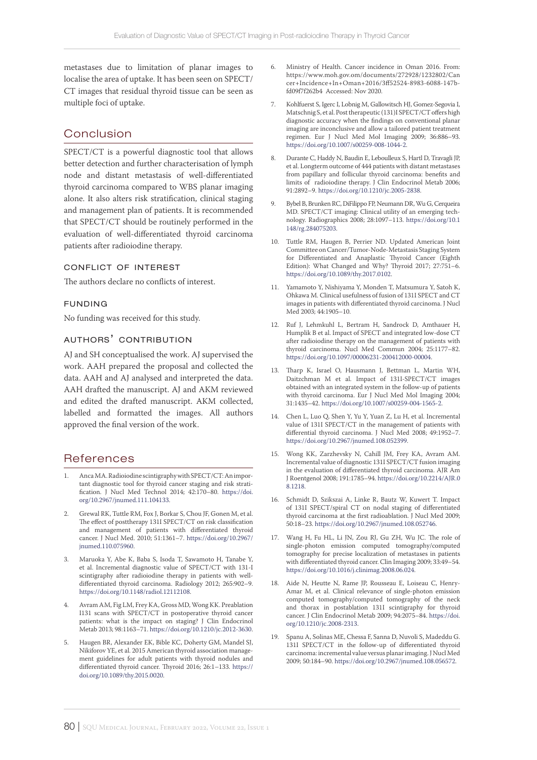metastases due to limitation of planar images to localise the area of uptake. It has been seen on SPECT/ CT images that residual thyroid tissue can be seen as multiple foci of uptake.

# Conclusion

SPECT/CT is a powerful diagnostic tool that allows better detection and further characterisation of lymph node and distant metastasis of well-differentiated thyroid carcinoma compared to WBS planar imaging alone. It also alters risk stratification, clinical staging and management plan of patients. It is recommended that SPECT/CT should be routinely performed in the evaluation of well-differentiated thyroid carcinoma patients after radioiodine therapy.

#### conflict of interest

The authors declare no conflicts of interest.

### funding

No funding was received for this study.

### authors' contribution

AJ and SH conceptualised the work. AJ supervised the work. AAH prepared the proposal and collected the data. AAH and AJ analysed and interpreted the data. AAH drafted the manuscript. AJ and AKM reviewed and edited the drafted manuscript. AKM collected, labelled and formatted the images. All authors approved the final version of the work.

### References

- 1. Anca MA. Radioiodine scintigraphy with SPECT/CT: An important diagnostic tool for thyroid cancer staging and risk stratification. J Nucl Med Technol 2014; 42:170–80. [https://doi.](https://doi.org/10.2967/jnumed.111.104133) [org/10.2967/jnumed.111.104133](https://doi.org/10.2967/jnumed.111.104133).
- 2. Grewal RK, Tuttle RM, Fox J, Borkar S, Chou JF, Gonen M, et al. The effect of posttherapy 131I SPECT/CT on risk classification and management of patients with differentiated thyroid cancer. J Nucl Med. 2010; 51:1361–7. [https://doi.org/10.2967/](https://doi.org/10.2967/jnumed.110.075960) [jnumed.110.075960.](https://doi.org/10.2967/jnumed.110.075960)
- 3. Maruoka Y, Abe K, Baba S, Isoda T, Sawamoto H, Tanabe Y, et al. Incremental diagnostic value of SPECT/CT with 131-I scintigraphy after radioiodine therapy in patients with welldifferentiated thyroid carcinoma. Radiology 2012; 265:902–9. [https://doi.org/10.1148/radiol.12112108.](https://doi.org/10.1148/radiol.12112108)
- Avram AM, Fig LM, Frey KA, Gross MD, Wong KK. Preablation I131 scans with SPECT/CT in postoperative thyroid cancer patients: what is the impact on staging? J Clin Endocrinol Metab 2013; 98:1163–71. [https://doi.org/10.1210/jc.2012-3630.](https://doi.org/10.1210/jc.2012-3630)
- 5. Haugen BR, Alexander EK, Bible KC, Doherty GM, Mandel SJ, Nikiforov YE, et al. 2015 American thyroid association management guidelines for adult patients with thyroid nodules and differentiated thyroid cancer. Thyroid 2016; 26:1–133. [https://](https://doi.org/10.1089/thy.2015.0020) [doi.org/10.1089/thy.2015.0020.](https://doi.org/10.1089/thy.2015.0020)
- 6. Ministry of Health. Cancer incidence in Oman 2016. From: https://www.moh.gov.om/documents/272928/1232802/Can cer+Incidence+In+Oman+2016/3ff52524-8983-6088-147bfd09f7f262b4 Accessed: Nov 2020.
- 7. Kohlfuerst S, Igerc I, Lobnig M, Gallowitsch HJ, Gomez-Segovia I, Matschnig S, et al. Post therapeutic (131)I SPECT/CT offers high diagnostic accuracy when the findings on conventional planar imaging are inconclusive and allow a tailored patient treatment regimen. Eur J Nucl Med Mol Imaging 2009; 36:886–93. <https://doi.org/10.1007/s00259-008-1044-2>.
- 8. Durante C, Haddy N, Baudin E, Leboulleux S, Hartl D, Travagli JP, et al. Longterm outcome of 444 patients with distant metastases from papillary and follicular thyroid carcinoma: benefits and limits of radioiodine therapy. J Clin Endocrinol Metab 2006; 91:2892–9. [https://doi.org/10.1210/jc.2005-2838.](https://doi.org/10.1210/jc.2005-2838)
- 9. Bybel B, Brunken RC, DiFilippo FP, Neumann DR, Wu G, Cerqueira MD. SPECT/CT imaging: Clinical utility of an emerging technology. Radiographics 2008; 28:1097–113. [https://doi.org/10.1](https://doi.org/10.1148/rg.284075203) [148/rg.284075203.](https://doi.org/10.1148/rg.284075203)
- 10. Tuttle RM, Haugen B, Perrier ND. Updated American Joint Committee on Cancer/Tumor-Node-Metastasis Staging System for Differentiated and Anaplastic Thyroid Cancer (Eighth Edition): What Changed and Why? Thyroid 2017; 27:751–6. <https://doi.org/10.1089/thy.2017.0102>.
- 11. Yamamoto Y, Nishiyama Y, Monden T, Matsumura Y, Satoh K, Ohkawa M. Clinical usefulness of fusion of 131I SPECT and CT images in patients with differentiated thyroid carcinoma. J Nucl Med 2003; 44:1905–10.
- 12. Ruf J, Lehmkuhl L, Bertram H, Sandrock D, Amthauer H, Humplik B et al. Impact of SPECT and integrated low-dose CT after radioiodine therapy on the management of patients with thyroid carcinoma. Nucl Med Commun 2004; 25:1177–82. [https://doi.org/10.1097/00006231-200412000-00004.](https://doi.org/10.1097/00006231-200412000-00004)
- 13. Tharp K, Israel O, Hausmann J, Bettman L, Martin WH, Daitzchman M et al. Impact of 131I-SPECT/CT images obtained with an integrated system in the follow-up of patients with thyroid carcinoma. Eur J Nucl Med Mol Imaging 2004; 31:1435–42. <https://doi.org/10.1007/s00259-004-1565-2>.
- 14. Chen L, Luo Q, Shen Y, Yu Y, Yuan Z, Lu H, et al. Incremental value of 131I SPECT/CT in the management of patients with differential thyroid carcinoma. J Nucl Med 2008; 49:1952–7. <https://doi.org/10.2967/jnumed.108.052399>.
- 15. Wong KK, Zarzhevsky N, Cahill JM, Frey KA, Avram AM. Incremental value of diagnostic 131I SPECT/CT fusion imaging in the evaluation of differentiated thyroid carcinoma. AJR Am J Roentgenol 2008; 191:1785–94. [https://doi.org/10.2214/AJR.0](https://doi.org/10.2214/AJR.08.1218) [8.1218.](https://doi.org/10.2214/AJR.08.1218)
- 16. Schmidt D, Szikszai A, Linke R, Bautz W, Kuwert T. Impact of 131I SPECT/spiral CT on nodal staging of differentiated thyroid carcinoma at the first radioablation. J Nucl Med 2009; 50:18–23. [https://doi.org/10.2967/jnumed.108.052746.](https://doi.org/10.2967/jnumed.108.052746)
- 17. Wang H, Fu HL, Li JN, Zou RJ, Gu ZH, Wu JC. The role of single-photon emission computed tomography/computed tomography for precise localization of metastases in patients with differentiated thyroid cancer. Clin Imaging 2009; 33:49–54. <https://doi.org/10.1016/j.clinimag.2008.06.024>.
- 18. Aide N, Heutte N, Rame JP, Rousseau E, Loiseau C, Henry-Amar M, et al. Clinical relevance of single-photon emission computed tomography/computed tomography of the neck and thorax in postablation 131I scintigraphy for thyroid cancer. J Clin Endocrinol Metab 2009; 94:2075–84. [https://doi.](https://doi.org/10.1210/jc.2008-2313) [org/10.1210/jc.2008-2313](https://doi.org/10.1210/jc.2008-2313).
- 19. Spanu A, Solinas ME, Chessa F, Sanna D, Nuvoli S, Madeddu G. 131I SPECT/CT in the follow-up of differentiated thyroid carcinoma: incremental value versus planar imaging. J Nucl Med 2009; 50:184–90. [https://doi.org/10.2967/jnumed.108.056572.](https://doi.org/10.2967/jnumed.108.056572)